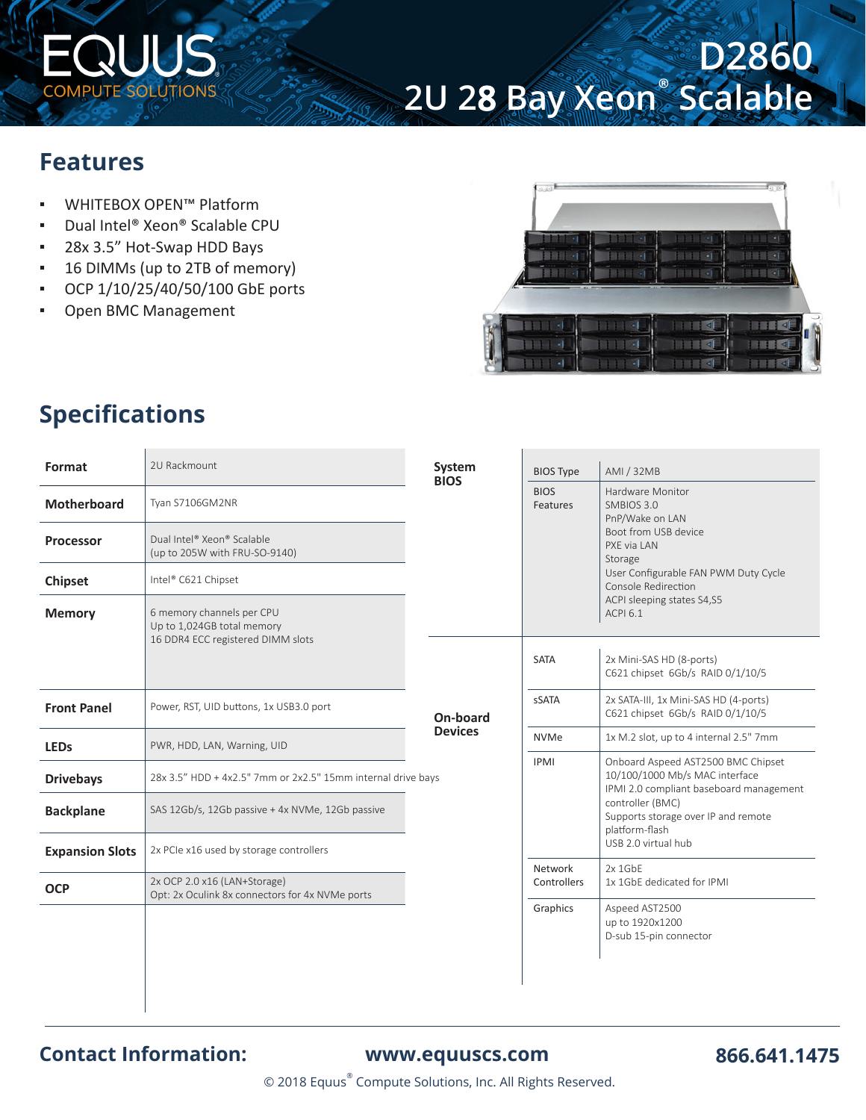

# **D2860 2U 28 Bay Xeon**®  **Scalable**

### **Features**

- WHITEBOX OPEN™ Platform
- Dual Intel® Xeon® Scalable CPU
- 28x 3.5" Hot-Swap HDD Bays
- 16 DIMMs (up to 2TB of memory)
- OCP 1/10/25/40/50/100 GbE ports
- Open BMC Management



## **Specifications**

| Format                 | 2U Rackmount                                                                                 | System<br><b>BIOS</b>      | AMI / 32MB<br><b>BIOS Type</b> |                                                                                                                 |
|------------------------|----------------------------------------------------------------------------------------------|----------------------------|--------------------------------|-----------------------------------------------------------------------------------------------------------------|
| Motherboard            | Tyan S7106GM2NR                                                                              |                            | <b>BIOS</b><br>Features        | Hardware Monitor<br>SMBIOS 3.0<br>PnP/Wake on LAN                                                               |
| <b>Processor</b>       | Dual Intel® Xeon® Scalable<br>(up to 205W with FRU-SO-9140)                                  |                            |                                | Boot from USB device<br>PXF via LAN<br>Storage<br>User Configurable FAN PWM Duty Cycle<br>Console Redirection   |
| <b>Chipset</b>         | Intel® C621 Chipset                                                                          |                            |                                |                                                                                                                 |
| <b>Memory</b>          | 6 memory channels per CPU<br>Up to 1,024GB total memory<br>16 DDR4 ECC registered DIMM slots |                            |                                | ACPI sleeping states S4,S5<br><b>ACPI 6.1</b>                                                                   |
|                        |                                                                                              |                            | <b>SATA</b>                    | 2x Mini-SAS HD (8-ports)<br>C621 chipset 6Gb/s RAID 0/1/10/5                                                    |
| <b>Front Panel</b>     | Power, RST, UID buttons, 1x USB3.0 port                                                      | On-board<br><b>Devices</b> | <b>SSATA</b>                   | 2x SATA-III, 1x Mini-SAS HD (4-ports)<br>C621 chipset 6Gb/s RAID 0/1/10/5                                       |
| <b>LEDs</b>            | PWR, HDD, LAN, Warning, UID                                                                  |                            | <b>NVMe</b>                    | 1x M.2 slot, up to 4 internal 2.5" 7mm                                                                          |
| <b>Drivebays</b>       | 28x 3.5" HDD + 4x2.5" 7mm or 2x2.5" 15mm internal drive bays                                 |                            | <b>IPMI</b>                    | Onboard Aspeed AST2500 BMC Chipset<br>10/100/1000 Mb/s MAC interface<br>IPMI 2.0 compliant baseboard management |
| <b>Backplane</b>       | SAS 12Gb/s, 12Gb passive + 4x NVMe, 12Gb passive                                             |                            |                                | controller (BMC)<br>Supports storage over IP and remote<br>platform-flash                                       |
| <b>Expansion Slots</b> | 2x PCIe x16 used by storage controllers                                                      |                            |                                | USB 2.0 virtual hub                                                                                             |
| <b>OCP</b>             | 2x OCP 2.0 x16 (LAN+Storage)<br>Opt: 2x Oculink 8x connectors for 4x NVMe ports              |                            | Network<br>Controllers         | $2x$ 1GbF<br>1x 1GbE dedicated for IPMI                                                                         |
|                        |                                                                                              |                            | Graphics                       | Aspeed AST2500<br>up to 1920x1200<br>D-sub 15-pin connector                                                     |

### **Contact Information: www.equuscs.com**

© 2018 Equus® Compute Solutions, Inc. All Rights Reserved.